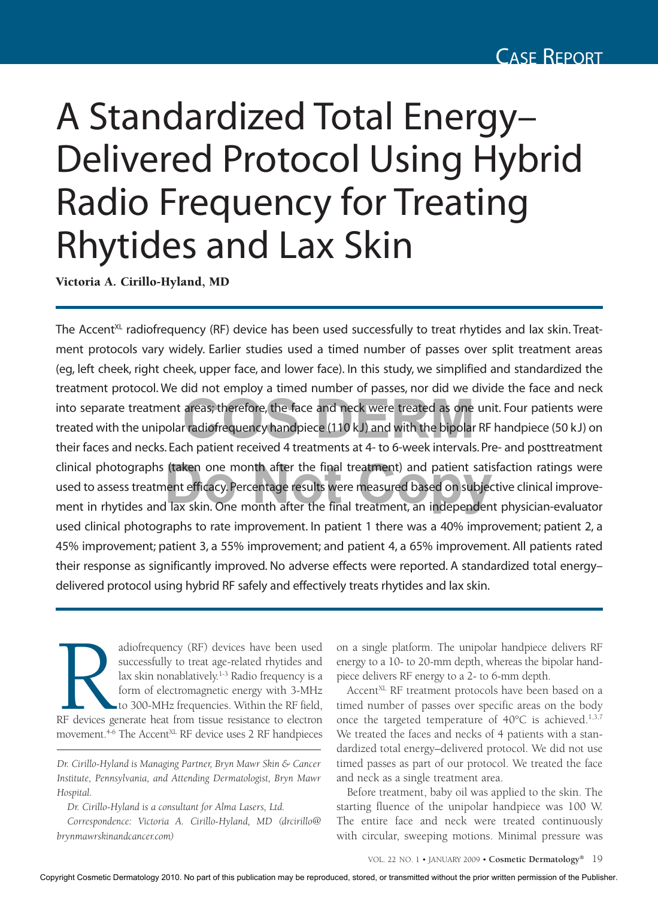## A Standardized Total Energy– Delivered Protocol Using Hybrid Radio Frequency for Treating Rhytides and Lax Skin

Victoria A. Cirillo-Hyland, MD

The Accent<sup>XL</sup> radiofrequency (RF) device has been used successfully to treat rhytides and lax skin. Treatment protocols vary widely. Earlier studies used a timed number of passes over split treatment areas (eg, left cheek, right cheek, upper face, and lower face). In this study, we simplified and standardized the treatment protocol. We did not employ a timed number of passes, nor did we divide the face and neck into separate treatment areas; therefore, the face and neck were treated as one unit. Four patients were treated with the unipolar radiofrequency handpiece (110 kJ) and with the bipolar RF handpiece (50 kJ) on their faces treated with the unipolar radiofrequency handpiece (110 kJ) and with the bipolar RF handpiece (50 kJ) on their faces and necks. Each patient received 4 treatments at 4- to 6-week intervals. Pre- and posttreatment clinical photographs (taken one month after the final treatment) and patient satisfaction ratings were used to assess treatment efficacy. Percentage results were measured based on subjective clinical improvement in rhytide used to assess treatment efficacy. Percentage results were measured based on subjective clinical improvement in rhytides and lax skin. One month after the final treatment, an independent physician-evaluator used clinical photographs to rate improvement. In patient 1 there was a 40% improvement; patient 2, a 45% improvement; patient 3, a 55% improvement; and patient 4, a 65% improvement. All patients rated their response as significantly improved. No adverse effects were reported. A standardized total energy– delivered protocol using hybrid RF safely and effectively treats rhytides and lax skin.

adiofrequency (RF) devices have been used<br>
successfully to treat age-related rhytides and<br>
lax skin nonablatively.<sup>1-3</sup> Radio frequency is a<br>
form of electromagnetic energy with 3-MHz<br>
to 300-MHz frequencies. Within the RF successfully to treat age-related rhytides and lax skin nonablatively. $1-3$  Radio frequency is a form of electromagnetic energy with 3-MHz to 300-MHz frequencies. Within the RF field, movement.<sup>4-6</sup> The Accent<sup>XL</sup> RF device uses 2 RF handpieces

*Dr. Cirillo-Hyland is a consultant for Alma Lasers, Ltd.*

*Correspondence: Victoria A. Cirillo-Hyland, MD (drcirillo@ brynmawrskinandcancer.com)*

on a single platform. The unipolar handpiece delivers RF energy to a 10- to 20-mm depth, whereas the bipolar handpiece delivers RF energy to a 2- to 6-mm depth.

Accent<sup>XL</sup> RF treatment protocols have been based on a timed number of passes over specific areas on the body once the targeted temperature of  $40^{\circ}$ C is achieved.<sup>1,3,7</sup> We treated the faces and necks of 4 patients with a standardized total energy–delivered protocol. We did not use timed passes as part of our protocol. We treated the face and neck as a single treatment area.

Before treatment, baby oil was applied to the skin. The starting fluence of the unipolar handpiece was 100 W. The entire face and neck were treated continuously with circular, sweeping motions. Minimal pressure was

*Dr. Cirillo-Hyland is Managing Partner, Bryn Mawr Skin & Cancer Institute, Pennsylvania, and Attending Dermatologist, Bryn Mawr Hospital.*